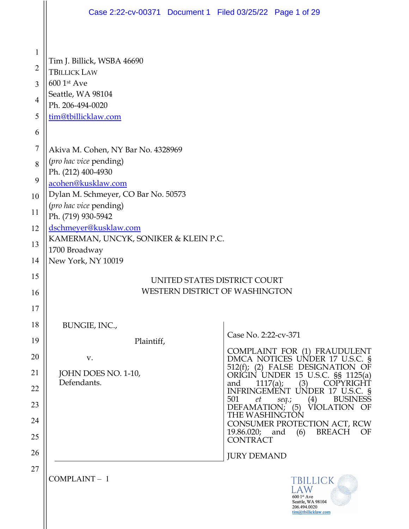|                | Case 2:22-cv-00371 Document 1 Filed 03/25/22 Page 1 of 29                                                    |                                                                                                   |  |  |  |  |  |  |
|----------------|--------------------------------------------------------------------------------------------------------------|---------------------------------------------------------------------------------------------------|--|--|--|--|--|--|
|                |                                                                                                              |                                                                                                   |  |  |  |  |  |  |
| $\mathbf{1}$   | Tim J. Billick, WSBA 46690                                                                                   |                                                                                                   |  |  |  |  |  |  |
| $\overline{2}$ | <b>TBILLICK LAW</b>                                                                                          |                                                                                                   |  |  |  |  |  |  |
| 3              | 600 1st Ave                                                                                                  |                                                                                                   |  |  |  |  |  |  |
| 4              | Seattle, WA 98104<br>Ph. 206-494-0020<br>tim@tbillicklaw.com                                                 |                                                                                                   |  |  |  |  |  |  |
| 5              |                                                                                                              |                                                                                                   |  |  |  |  |  |  |
| 6              |                                                                                                              |                                                                                                   |  |  |  |  |  |  |
| $\overline{7}$ | Akiva M. Cohen, NY Bar No. 4328969                                                                           |                                                                                                   |  |  |  |  |  |  |
| 8              | (pro hac vice pending)<br>Ph. (212) 400-4930                                                                 |                                                                                                   |  |  |  |  |  |  |
| 9              | acohen@kusklaw.com                                                                                           |                                                                                                   |  |  |  |  |  |  |
| 10             | Dylan M. Schmeyer, CO Bar No. 50573<br>(pro hac vice pending)<br>Ph. (719) 930-5942<br>dschmeyer@kusklaw.com |                                                                                                   |  |  |  |  |  |  |
| 11             |                                                                                                              |                                                                                                   |  |  |  |  |  |  |
| 12             |                                                                                                              |                                                                                                   |  |  |  |  |  |  |
| 13             | KAMERMAN, UNCYK, SONIKER & KLEIN P.C.<br>1700 Broadway                                                       |                                                                                                   |  |  |  |  |  |  |
| 14             | New York, NY 10019                                                                                           |                                                                                                   |  |  |  |  |  |  |
| 15             | UNITED STATES DISTRICT COURT                                                                                 |                                                                                                   |  |  |  |  |  |  |
| 16             | <b>WESTERN DISTRICT OF WASHINGTON</b>                                                                        |                                                                                                   |  |  |  |  |  |  |
| 17             |                                                                                                              |                                                                                                   |  |  |  |  |  |  |
| 18             | BUNGIE, INC.,                                                                                                | Case No. 2:22-cv-371                                                                              |  |  |  |  |  |  |
| 19             | Plaintiff,                                                                                                   |                                                                                                   |  |  |  |  |  |  |
| 20             | V.                                                                                                           | COMPLAINT FOR (1) FRAUDULENT<br>DMCA NOTICES UNDER 17 U.S.C. §                                    |  |  |  |  |  |  |
| 21             | JOHN DOES NO. 1-10,<br>Defendants.                                                                           | 512(f); (2) FALSE DESIGNATION OF<br>ORIGIN UNDER 15 U.S.C. §§ 1125(a)<br>and<br>COPYRIGHT         |  |  |  |  |  |  |
| 22             |                                                                                                              | 1117(a);<br>(3)<br>INFRINGEMENT UNDER 17 U.S.C. §<br><b>BUSINESS</b><br>501<br>et<br>(4)          |  |  |  |  |  |  |
| 23             |                                                                                                              | seq.;<br>VIOLATION OF<br>$DEFAMATION;$ (5)<br>THE WASHINGTON                                      |  |  |  |  |  |  |
| 24             |                                                                                                              | CONSUMER PROTECTION ACT, RCW<br><b>BREACH</b><br>19.86.020; and<br>(6)<br>OF                      |  |  |  |  |  |  |
| 25             |                                                                                                              | <b>CONTRACT</b>                                                                                   |  |  |  |  |  |  |
| 26             |                                                                                                              | <b>JURY DEMAND</b>                                                                                |  |  |  |  |  |  |
| 27             | COMPLAINT-1                                                                                                  | <b>TBILLICK</b><br>LAW<br>600 1st Ave<br>Seattle, WA 98104<br>206.494.0020<br>tim@tbillicklaw.com |  |  |  |  |  |  |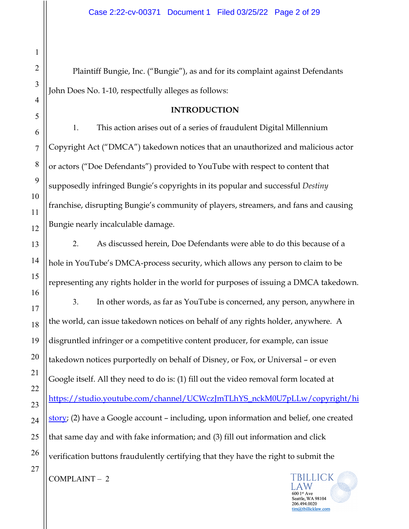Plaintiff Bungie, Inc. ("Bungie"), as and for its complaint against Defendants John Does No. 1-10, respectfully alleges as follows:

## **INTRODUCTION**

1. This action arises out of a series of fraudulent Digital Millennium Copyright Act ("DMCA") takedown notices that an unauthorized and malicious actor or actors ("Doe Defendants") provided to YouTube with respect to content that supposedly infringed Bungie's copyrights in its popular and successful *Destiny* franchise, disrupting Bungie's community of players, streamers, and fans and causing Bungie nearly incalculable damage.

2. As discussed herein, Doe Defendants were able to do this because of a hole in YouTube's DMCA-process security, which allows any person to claim to be representing any rights holder in the world for purposes of issuing a DMCA takedown.

3. In other words, as far as YouTube is concerned, any person, anywhere in the world, can issue takedown notices on behalf of any rights holder, anywhere. A disgruntled infringer or a competitive content producer, for example, can issue takedown notices purportedly on behalf of Disney, or Fox, or Universal – or even Google itself. All they need to do is: (1) fill out the video removal form located at https://studio.youtube.com/channel/UCWczJmTLhYS\_nckM0U7pLLw/copyright/hi story; (2) have a Google account – including, upon information and belief, one created that same day and with fake information; and (3) fill out information and click verification buttons fraudulently certifying that they have the right to submit the



1

2

3

4

5

6

7

8

9

10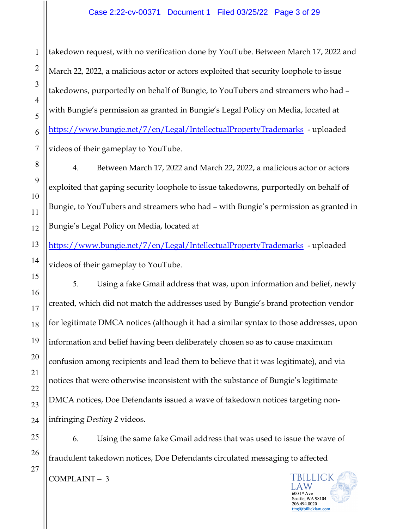takedown request, with no verification done by YouTube. Between March 17, 2022 and March 22, 2022, a malicious actor or actors exploited that security loophole to issue takedowns, purportedly on behalf of Bungie, to YouTubers and streamers who had – with Bungie's permission as granted in Bungie's Legal Policy on Media, located at https://www.bungie.net/7/en/Legal/IntellectualPropertyTrademarks - uploaded videos of their gameplay to YouTube.

4. Between March 17, 2022 and March 22, 2022, a malicious actor or actors exploited that gaping security loophole to issue takedowns, purportedly on behalf of Bungie, to YouTubers and streamers who had – with Bungie's permission as granted in Bungie's Legal Policy on Media, located at

https://www.bungie.net/7/en/Legal/IntellectualPropertyTrademarks - uploaded videos of their gameplay to YouTube.

5. Using a fake Gmail address that was, upon information and belief, newly created, which did not match the addresses used by Bungie's brand protection vendor for legitimate DMCA notices (although it had a similar syntax to those addresses, upon information and belief having been deliberately chosen so as to cause maximum confusion among recipients and lead them to believe that it was legitimate), and via notices that were otherwise inconsistent with the substance of Bungie's legitimate DMCA notices, Doe Defendants issued a wave of takedown notices targeting noninfringing *Destiny 2* videos.

6. Using the same fake Gmail address that was used to issue the wave of fraudulent takedown notices, Doe Defendants circulated messaging to affected TBILLICK COMPLAINT – 3

> A W  $6001$ <sup>st</sup> Ave Seattle, WA 98104 206.494.0020 tim@tbillicklaw.com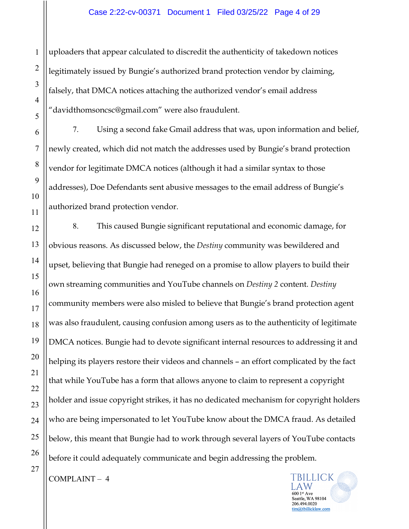uploaders that appear calculated to discredit the authenticity of takedown notices legitimately issued by Bungie's authorized brand protection vendor by claiming, falsely, that DMCA notices attaching the authorized vendor's email address "davidthomsoncsc@gmail.com" were also fraudulent.

7. Using a second fake Gmail address that was, upon information and belief, newly created, which did not match the addresses used by Bungie's brand protection vendor for legitimate DMCA notices (although it had a similar syntax to those addresses), Doe Defendants sent abusive messages to the email address of Bungie's authorized brand protection vendor.

8. This caused Bungie significant reputational and economic damage, for obvious reasons. As discussed below, the *Destiny* community was bewildered and upset, believing that Bungie had reneged on a promise to allow players to build their own streaming communities and YouTube channels on *Destiny 2* content. *Destiny*  community members were also misled to believe that Bungie's brand protection agent was also fraudulent, causing confusion among users as to the authenticity of legitimate DMCA notices. Bungie had to devote significant internal resources to addressing it and helping its players restore their videos and channels – an effort complicated by the fact that while YouTube has a form that allows anyone to claim to represent a copyright holder and issue copyright strikes, it has no dedicated mechanism for copyright holders who are being impersonated to let YouTube know about the DMCA fraud. As detailed below, this meant that Bungie had to work through several layers of YouTube contacts before it could adequately communicate and begin addressing the problem.

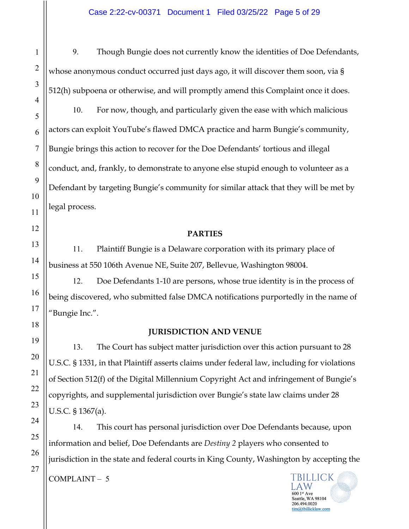9. Though Bungie does not currently know the identities of Doe Defendants, whose anonymous conduct occurred just days ago, it will discover them soon, via § 512(h) subpoena or otherwise, and will promptly amend this Complaint once it does.

10. For now, though, and particularly given the ease with which malicious actors can exploit YouTube's flawed DMCA practice and harm Bungie's community, Bungie brings this action to recover for the Doe Defendants' tortious and illegal conduct, and, frankly, to demonstrate to anyone else stupid enough to volunteer as a Defendant by targeting Bungie's community for similar attack that they will be met by legal process.

## **PARTIES**

11. Plaintiff Bungie is a Delaware corporation with its primary place of business at 550 106th Avenue NE, Suite 207, Bellevue, Washington 98004.

12. Doe Defendants 1-10 are persons, whose true identity is in the process of being discovered, who submitted false DMCA notifications purportedly in the name of "Bungie Inc.".

## **JURISDICTION AND VENUE**

13. The Court has subject matter jurisdiction over this action pursuant to 28 U.S.C. § 1331, in that Plaintiff asserts claims under federal law, including for violations of Section 512(f) of the Digital Millennium Copyright Act and infringement of Bungie's copyrights, and supplemental jurisdiction over Bungie's state law claims under 28 U.S.C. § 1367(a).

14. This court has personal jurisdiction over Doe Defendants because, upon information and belief, Doe Defendants are *Destiny 2* players who consented to jurisdiction in the state and federal courts in King County, Washington by accepting the

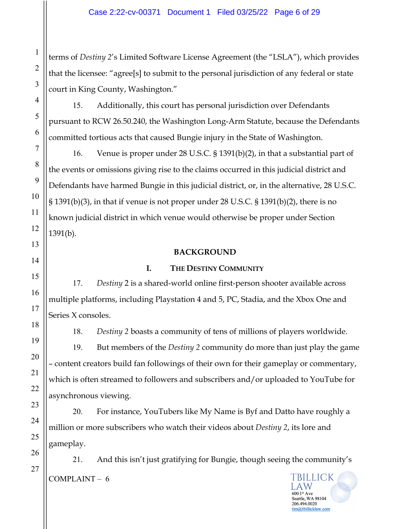terms of *Destiny 2*'s Limited Software License Agreement (the "LSLA"), which provides that the licensee: "agree[s] to submit to the personal jurisdiction of any federal or state court in King County, Washington."

15. Additionally, this court has personal jurisdiction over Defendants pursuant to RCW 26.50.240, the Washington Long-Arm Statute, because the Defendants committed tortious acts that caused Bungie injury in the State of Washington.

16. Venue is proper under 28 U.S.C. § 1391(b)(2), in that a substantial part of the events or omissions giving rise to the claims occurred in this judicial district and Defendants have harmed Bungie in this judicial district, or, in the alternative, 28 U.S.C. § 1391(b)(3), in that if venue is not proper under 28 U.S.C. § 1391(b)(2), there is no known judicial district in which venue would otherwise be proper under Section 1391(b).

## **BACKGROUND**

## **I. THE DESTINY COMMUNITY**

17. *Destiny* 2 is a shared-world online first-person shooter available across multiple platforms, including Playstation 4 and 5, PC, Stadia, and the Xbox One and Series X consoles.

18. *Destiny 2* boasts a community of tens of millions of players worldwide.

19. But members of the *Destiny 2* community do more than just play the game – content creators build fan followings of their own for their gameplay or commentary, which is often streamed to followers and subscribers and/or uploaded to YouTube for asynchronous viewing.

20. For instance, YouTubers like My Name is Byf and Datto have roughly a million or more subscribers who watch their videos about *Destiny 2*, its lore and gameplay.

21. And this isn't just gratifying for Bungie, though seeing the community's **TBILLICK**  $COMPLAINT - 6$ 

A W

Seattle, WA 98104 206.494.0020 im@tbillicklaw.com

27

1

2

3

4

5

6

7

8

9

10

11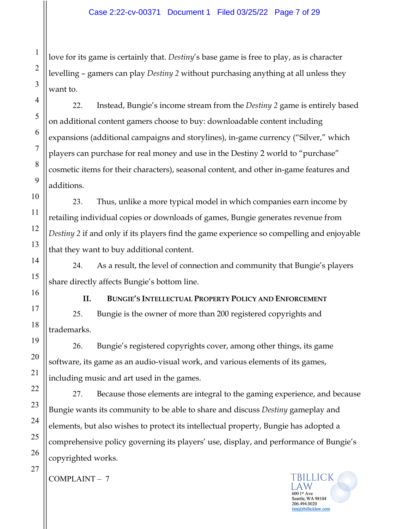love for its game is certainly that. *Destiny*'s base game is free to play, as is character levelling – gamers can play *Destiny 2* without purchasing anything at all unless they want to.

22. Instead, Bungie's income stream from the *Destiny 2* game is entirely based on additional content gamers choose to buy: downloadable content including expansions (additional campaigns and storylines), in-game currency ("Silver," which players can purchase for real money and use in the Destiny 2 world to "purchase" cosmetic items for their characters), seasonal content, and other in-game features and additions.

23. Thus, unlike a more typical model in which companies earn income by retailing individual copies or downloads of games, Bungie generates revenue from *Destiny 2* if and only if its players find the game experience so compelling and enjoyable that they want to buy additional content.

24. As a result, the level of connection and community that Bungie's players share directly affects Bungie's bottom line.

**II. BUNGIE'S INTELLECTUAL PROPERTY POLICY AND ENFORCEMENT** 25. Bungie is the owner of more than 200 registered copyrights and trademarks.

26. Bungie's registered copyrights cover, among other things, its game software, its game as an audio-visual work, and various elements of its games, including music and art used in the games.

27. Because those elements are integral to the gaming experience, and because Bungie wants its community to be able to share and discuss *Destiny* gameplay and elements, but also wishes to protect its intellectual property, Bungie has adopted a comprehensive policy governing its players' use, display, and performance of Bungie's copyrighted works.



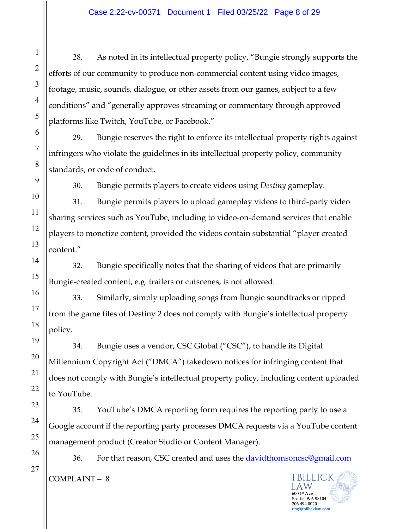28. As noted in its intellectual property policy, "Bungie strongly supports the efforts of our community to produce non-commercial content using video images, footage, music, sounds, dialogue, or other assets from our games, subject to a few conditions" and "generally approves streaming or commentary through approved platforms like Twitch, YouTube, or Facebook."

29. Bungie reserves the right to enforce its intellectual property rights against infringers who violate the guidelines in its intellectual property policy, community standards, or code of conduct.

30. Bungie permits players to create videos using *Destiny* gameplay.

31. Bungie permits players to upload gameplay videos to third-party video sharing services such as YouTube, including to video-on-demand services that enable players to monetize content, provided the videos contain substantial "player created content."

32. Bungie specifically notes that the sharing of videos that are primarily Bungie-created content, e.g. trailers or cutscenes, is not allowed.

33. Similarly, simply uploading songs from Bungie soundtracks or ripped from the game files of Destiny 2 does not comply with Bungie's intellectual property policy.

34. Bungie uses a vendor, CSC Global ("CSC"), to handle its Digital Millennium Copyright Act ("DMCA") takedown notices for infringing content that does not comply with Bungie's intellectual property policy, including content uploaded to YouTube.

35. YouTube's DMCA reporting form requires the reporting party to use a Google account if the reporting party processes DMCA requests via a YouTube content management product (Creator Studio or Content Manager).

36. For that reason, CSC created and uses the davidthomsoncsc@gmail.com TBILLICK COMPLAINT – 8

A W

Seattle, WA 98104 206.494.0020 tim@tbillicklaw.com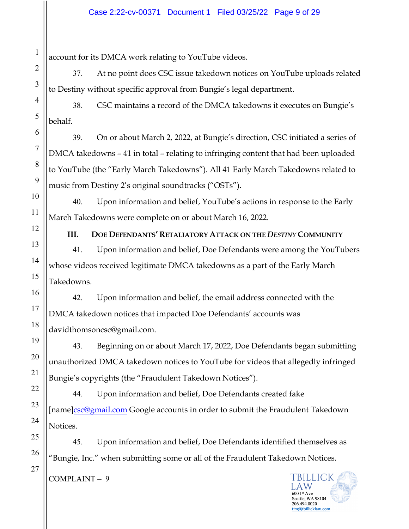account for its DMCA work relating to YouTube videos.

37. At no point does CSC issue takedown notices on YouTube uploads related to Destiny without specific approval from Bungie's legal department.

38. CSC maintains a record of the DMCA takedowns it executes on Bungie's behalf.

39. On or about March 2, 2022, at Bungie's direction, CSC initiated a series of DMCA takedowns – 41 in total – relating to infringing content that had been uploaded to YouTube (the "Early March Takedowns"). All 41 Early March Takedowns related to music from Destiny 2's original soundtracks ("OSTs").

40. Upon information and belief, YouTube's actions in response to the Early March Takedowns were complete on or about March 16, 2022.

**III. DOE DEFENDANTS' RETALIATORY ATTACK ON THE** *DESTINY* **COMMUNITY**

41. Upon information and belief, Doe Defendants were among the YouTubers whose videos received legitimate DMCA takedowns as a part of the Early March Takedowns.

42. Upon information and belief, the email address connected with the DMCA takedown notices that impacted Doe Defendants' accounts was davidthomsoncsc@gmail.com.

43. Beginning on or about March 17, 2022, Doe Defendants began submitting unauthorized DMCA takedown notices to YouTube for videos that allegedly infringed Bungie's copyrights (the "Fraudulent Takedown Notices").

44. Upon information and belief, Doe Defendants created fake [name]csc@gmail.com Google accounts in order to submit the Fraudulent Takedown Notices.

45. Upon information and belief, Doe Defendants identified themselves as "Bungie, Inc." when submitting some or all of the Fraudulent Takedown Notices.

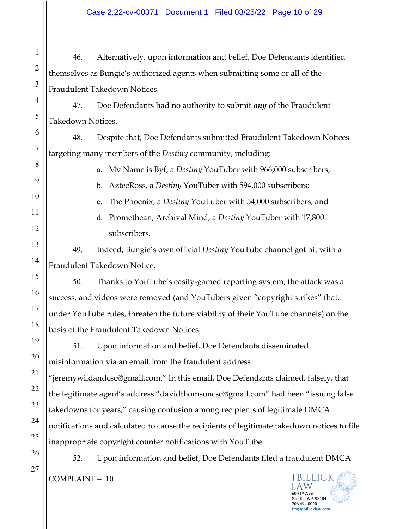46. Alternatively, upon information and belief, Doe Defendants identified themselves as Bungie's authorized agents when submitting some or all of the Fraudulent Takedown Notices.

47. Doe Defendants had no authority to submit *any* of the Fraudulent Takedown Notices.

48. Despite that, Doe Defendants submitted Fraudulent Takedown Notices targeting many members of the *Destiny* community, including:

a. My Name is Byf, a *Destiny* YouTuber with 966,000 subscribers;

b. AztecRoss, a *Destiny* YouTuber with 594,000 subscribers;

c. The Phoenix, a *Destiny* YouTuber with 54,000 subscribers; and

d. Promethean, Archival Mind, a *Destiny* YouTuber with 17,800 subscribers.

49. Indeed, Bungie's own official *Destiny* YouTube channel got hit with a Fraudulent Takedown Notice.

50. Thanks to YouTube's easily-gamed reporting system, the attack was a success, and videos were removed (and YouTubers given "copyright strikes" that, under YouTube rules, threaten the future viability of their YouTube channels) on the basis of the Fraudulent Takedown Notices.

51. Upon information and belief, Doe Defendants disseminated misinformation via an email from the fraudulent address "jeremywildandcsc@gmail.com." In this email, Doe Defendants claimed, falsely, that the legitimate agent's address "davidthomsoncsc@gmail.com" had been "issuing false takedowns for years," causing confusion among recipients of legitimate DMCA notifications and calculated to cause the recipients of legitimate takedown notices to file inappropriate copyright counter notifications with YouTube.

52. Upon information and belief, Doe Defendants filed a fraudulent DMCA

COMPLAINT – 10

1

2

3

4

5

6

7

8

9

10

11

12

13

14

15

16

17

18

19

20

21

22

23

24

25

26

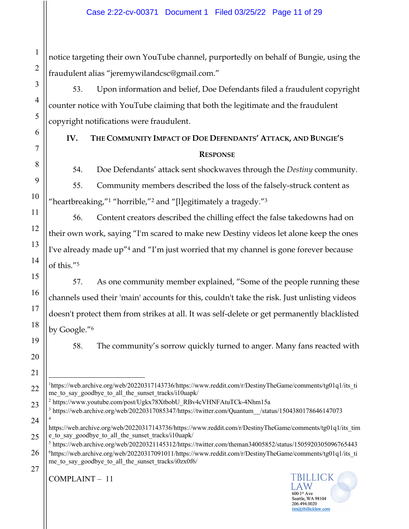notice targeting their own YouTube channel, purportedly on behalf of Bungie, using the fraudulent alias "jeremywilandcsc@gmail.com."

53. Upon information and belief, Doe Defendants filed a fraudulent copyright counter notice with YouTube claiming that both the legitimate and the fraudulent copyright notifications were fraudulent.

## **IV. THE COMMUNITY IMPACT OF DOE DEFENDANTS' ATTACK, AND BUNGIE'S RESPONSE**

54. Doe Defendants' attack sent shockwaves through the *Destiny* community.

55. Community members described the loss of the falsely-struck content as "heartbreaking,"1 "horrible,"2 and "[l]egitimately a tragedy."3

56. Content creators described the chilling effect the false takedowns had on their own work, saying "I'm scared to make new Destiny videos let alone keep the ones I've already made up"4 and "I'm just worried that my channel is gone forever because of this."5

57. As one community member explained, "Some of the people running these channels used their 'main' accounts for this, couldn't take the risk. Just unlisting videos doesn't protect them from strikes at all. It was self-delete or get permanently blacklisted by Google."6

58. The community's sorrow quickly turned to anger. Many fans reacted with

<sup>2</sup> https://www.youtube.com/post/Ugkx78XtbobU\_RBv4cVHNFAtuTCk-4Nhm15a

 $3$  https://web.archive.org/web/20220317085347/https://twitter.com/Quantum /status/1504380178646147073 4

 $5$  https://web.archive.org/web/20220321145312/https://twitter.com/theman34005852/status/1505920305096765443 <sup>6</sup>https://web.archive.org/web/20220317091011/https://www.reddit.com/r/DestinyTheGame/comments/tg01q1/its\_ti me to say goodbye to all the sunset tracks/i0zx0f6/

27

<sup>&</sup>lt;sup>1</sup>https://web.archive.org/web/20220317143736/https://www.reddit.com/r/DestinyTheGame/comments/tg01q1/its\_ti me to say goodbye to all the sunset tracks/i10uapk/

https://web.archive.org/web/20220317143736/https://www.reddit.com/r/DestinyTheGame/comments/tg01q1/its\_tim e\_to\_say\_goodbye\_to\_all\_the\_sunset\_tracks/i10uapk/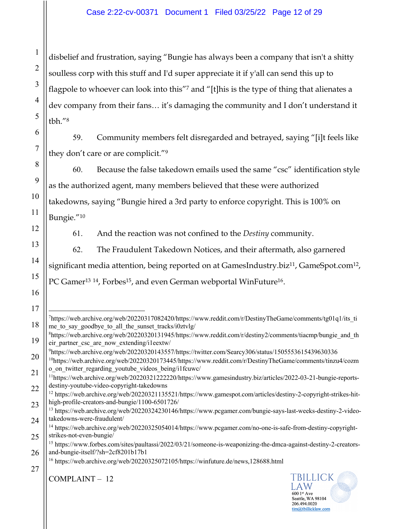## Case 2:22-cv-00371 Document 1 Filed 03/25/22 Page 12 of 29

disbelief and frustration, saying "Bungie has always been a company that isn't a shitty soulless corp with this stuff and I'd super appreciate it if y'all can send this up to flagpole to whoever can look into this"<sup>7</sup> and "[t]his is the type of thing that alienates a dev company from their fans… it's damaging the community and I don't understand it tbh."8

59. Community members felt disregarded and betrayed, saying "[i]t feels like they don't care or are complicit."9

60. Because the false takedown emails used the same "csc" identification style as the authorized agent, many members believed that these were authorized takedowns, saying "Bungie hired a 3rd party to enforce copyright. This is 100% on Bungie."10

61. And the reaction was not confined to the *Destiny* community.

62. The Fraudulent Takedown Notices, and their aftermath, also garnered significant media attention, being reported on at GamesIndustry.biz<sup>11</sup>, GameSpot.com<sup>12</sup>, PC Gamer<sup>13 14</sup>, Forbes<sup>15</sup>, and even German webportal WinFuture<sup>16</sup>.

1

2

3

4

5

6

7

8

9

10

11

12

13

14

15

16



<sup>18</sup> <sup>7</sup>https://web.archive.org/web/20220317082420/https://www.reddit.com/r/DestinyTheGame/comments/tg01q1/its\_ti me\_to\_say\_goodbye\_to\_all\_the\_sunset\_tracks/i0ztvlg/

<sup>19</sup> <sup>8</sup>https://web.archive.org/web/20220320131945/https://www.reddit.com/r/destiny2/comments/tiacmp/bungie\_and\_th eir partner csc are now extending/i1eextw/

<sup>9</sup> https://web.archive.org/web/20220320143557/https://twitter.com/Searcy306/status/1505553615439630336

<sup>20</sup> 21 10https://web.archive.org/web/20220320173445/https://www.reddit.com/r/DestinyTheGame/comments/tinzu4/cozm o on twitter regarding youtube videos being/i1fcuwc/

<sup>22</sup> 11https://web.archive.org/web/20220321222220/https://www.gamesindustry.biz/articles/2022-03-21-bungie-reportsdestiny-youtube-video-copyright-takedowns

<sup>23</sup> <sup>12</sup> https://web.archive.org/web/20220321135521/https://www.gamespot.com/articles/destiny-2-copyright-strikes-hithigh-profile-creators-and-bungie/1100-6501726/

<sup>24</sup> <sup>13</sup> https://web.archive.org/web/20220324230146/https://www.pcgamer.com/bungie-says-last-weeks-destiny-2-videotakedowns-were-fraudulent/

<sup>25</sup> <sup>14</sup> https://web.archive.org/web/20220325054014/https://www.pcgamer.com/no-one-is-safe-from-destiny-copyrightstrikes-not-even-bungie/

<sup>26</sup> <sup>15</sup> https://www.forbes.com/sites/paultassi/2022/03/21/someone-is-weaponizing-the-dmca-against-destiny-2-creatorsand-bungie-itself/?sh=2cf8201b17b1

<sup>27</sup> <sup>16</sup> https://web.archive.org/web/20220325072105/https://winfuture.de/news,128688.html

COMPLAINT – 12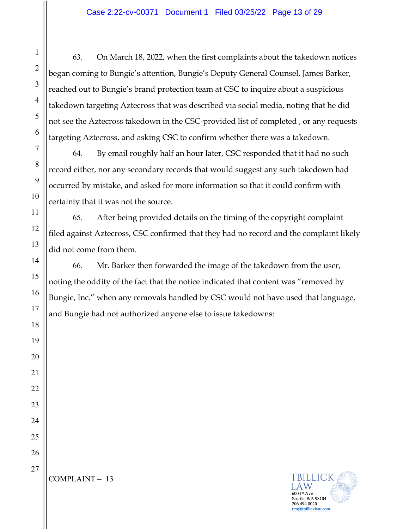63. On March 18, 2022, when the first complaints about the takedown notices began coming to Bungie's attention, Bungie's Deputy General Counsel, James Barker, reached out to Bungie's brand protection team at CSC to inquire about a suspicious takedown targeting Aztecross that was described via social media, noting that he did not see the Aztecross takedown in the CSC-provided list of completed , or any requests targeting Aztecross, and asking CSC to confirm whether there was a takedown.

64. By email roughly half an hour later, CSC responded that it had no such record either, nor any secondary records that would suggest any such takedown had occurred by mistake, and asked for more information so that it could confirm with certainty that it was not the source.

65. After being provided details on the timing of the copyright complaint filed against Aztecross, CSC confirmed that they had no record and the complaint likely did not come from them.

66. Mr. Barker then forwarded the image of the takedown from the user, noting the oddity of the fact that the notice indicated that content was "removed by Bungie, Inc." when any removals handled by CSC would not have used that language, and Bungie had not authorized anyone else to issue takedowns:



# 1 2 3 4 5 6 7 8 9 10 11 12 13 14 15 16 17 18 19 20 21 22 23 24 25 26 27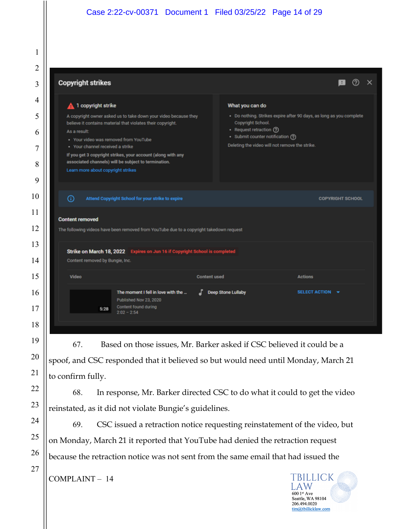#### Case 2:22-cv-00371 Document 1 Filed 03/25/22 Page 14 of 29

|                                                                                        | <b>Copyright strikes</b>                                                                                                                                                                                                                                                                        |                                                                                                                                      |                                                                     |
|----------------------------------------------------------------------------------------|-------------------------------------------------------------------------------------------------------------------------------------------------------------------------------------------------------------------------------------------------------------------------------------------------|--------------------------------------------------------------------------------------------------------------------------------------|---------------------------------------------------------------------|
| 1 copyright strike                                                                     |                                                                                                                                                                                                                                                                                                 | What you can do                                                                                                                      |                                                                     |
| As a result:<br>• Your channel received a strike<br>Learn more about copyright strikes | A copyright owner asked us to take down your video because they<br>believe it contains material that violates their copyright.<br>. Your video was removed from YouTube<br>If you get 3 copyright strikes, your account (along with any<br>associated channels) will be subject to termination. | Copyright School.<br>• Request retraction (?)<br>• Submit counter notification (?)<br>Deleting the video will not remove the strike. | · Do nothing. Strikes expire after 90 days, as long as you complete |
| ⊙                                                                                      | Attend Copyright School for your strike to expire                                                                                                                                                                                                                                               |                                                                                                                                      | <b>COPYRIGHT SCHOOL</b>                                             |
| <b>Content removed</b>                                                                 |                                                                                                                                                                                                                                                                                                 |                                                                                                                                      |                                                                     |
| Content removed by Bungie, Inc.                                                        | The following videos have been removed from YouTube due to a copyright takedown request<br>Strike on March 18, 2022 Expires on Jun 16 if Copyright School is completed                                                                                                                          |                                                                                                                                      |                                                                     |
| Video                                                                                  |                                                                                                                                                                                                                                                                                                 | <b>Content used</b>                                                                                                                  | <b>Actions</b>                                                      |

67. Based on those issues, Mr. Barker asked if CSC believed it could be a spoof, and CSC responded that it believed so but would need until Monday, March 21 to confirm fully.

68. In response, Mr. Barker directed CSC to do what it could to get the video reinstated, as it did not violate Bungie's guidelines.

69. CSC issued a retraction notice requesting reinstatement of the video, but on Monday, March 21 it reported that YouTube had denied the retraction request because the retraction notice was not sent from the same email that had issued the

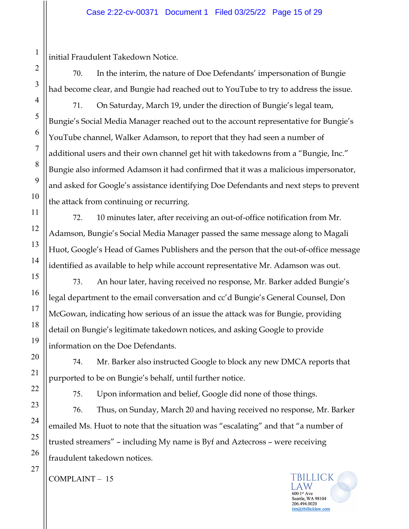initial Fraudulent Takedown Notice.

70. In the interim, the nature of Doe Defendants' impersonation of Bungie had become clear, and Bungie had reached out to YouTube to try to address the issue.

71. On Saturday, March 19, under the direction of Bungie's legal team, Bungie's Social Media Manager reached out to the account representative for Bungie's YouTube channel, Walker Adamson, to report that they had seen a number of additional users and their own channel get hit with takedowns from a "Bungie, Inc." Bungie also informed Adamson it had confirmed that it was a malicious impersonator, and asked for Google's assistance identifying Doe Defendants and next steps to prevent the attack from continuing or recurring.

72. 10 minutes later, after receiving an out-of-office notification from Mr. Adamson, Bungie's Social Media Manager passed the same message along to Magali Huot, Google's Head of Games Publishers and the person that the out-of-office message identified as available to help while account representative Mr. Adamson was out.

73. An hour later, having received no response, Mr. Barker added Bungie's legal department to the email conversation and cc'd Bungie's General Counsel, Don McGowan, indicating how serious of an issue the attack was for Bungie, providing detail on Bungie's legitimate takedown notices, and asking Google to provide information on the Doe Defendants.

74. Mr. Barker also instructed Google to block any new DMCA reports that purported to be on Bungie's behalf, until further notice.

75. Upon information and belief, Google did none of those things.

76. Thus, on Sunday, March 20 and having received no response, Mr. Barker emailed Ms. Huot to note that the situation was "escalating" and that "a number of trusted streamers" – including My name is Byf and Aztecross – were receiving fraudulent takedown notices.

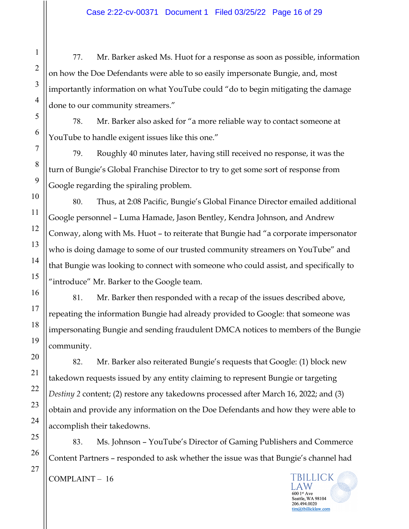77. Mr. Barker asked Ms. Huot for a response as soon as possible, information on how the Doe Defendants were able to so easily impersonate Bungie, and, most importantly information on what YouTube could "do to begin mitigating the damage done to our community streamers."

78. Mr. Barker also asked for "a more reliable way to contact someone at YouTube to handle exigent issues like this one."

79. Roughly 40 minutes later, having still received no response, it was the turn of Bungie's Global Franchise Director to try to get some sort of response from Google regarding the spiraling problem.

80. Thus, at 2:08 Pacific, Bungie's Global Finance Director emailed additional Google personnel – Luma Hamade, Jason Bentley, Kendra Johnson, and Andrew Conway, along with Ms. Huot – to reiterate that Bungie had "a corporate impersonator who is doing damage to some of our trusted community streamers on YouTube" and that Bungie was looking to connect with someone who could assist, and specifically to "introduce" Mr. Barker to the Google team.

81. Mr. Barker then responded with a recap of the issues described above, repeating the information Bungie had already provided to Google: that someone was impersonating Bungie and sending fraudulent DMCA notices to members of the Bungie community.

82. Mr. Barker also reiterated Bungie's requests that Google: (1) block new takedown requests issued by any entity claiming to represent Bungie or targeting *Destiny 2* content; (2) restore any takedowns processed after March 16, 2022; and (3) obtain and provide any information on the Doe Defendants and how they were able to accomplish their takedowns.

83. Ms. Johnson – YouTube's Director of Gaming Publishers and Commerce Content Partners – responded to ask whether the issue was that Bungie's channel had

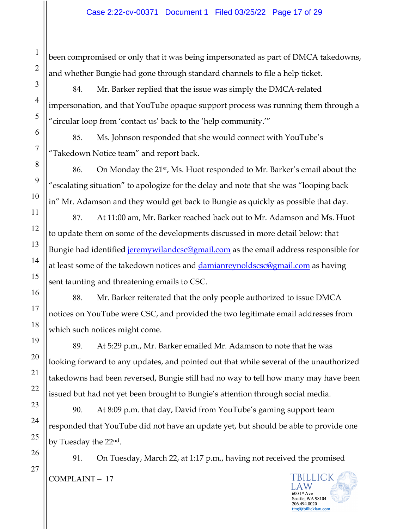been compromised or only that it was being impersonated as part of DMCA takedowns, and whether Bungie had gone through standard channels to file a help ticket.

84. Mr. Barker replied that the issue was simply the DMCA-related impersonation, and that YouTube opaque support process was running them through a "circular loop from 'contact us' back to the 'help community.'"

85. Ms. Johnson responded that she would connect with YouTube's "Takedown Notice team" and report back.

86. On Monday the 21st, Ms. Huot responded to Mr. Barker's email about the "escalating situation" to apologize for the delay and note that she was "looping back in" Mr. Adamson and they would get back to Bungie as quickly as possible that day.

87. At 11:00 am, Mr. Barker reached back out to Mr. Adamson and Ms. Huot to update them on some of the developments discussed in more detail below: that Bungie had identified jeremywilandcsc@gmail.com as the email address responsible for at least some of the takedown notices and damianreynoldscsc@gmail.com as having sent taunting and threatening emails to CSC.

88. Mr. Barker reiterated that the only people authorized to issue DMCA notices on YouTube were CSC, and provided the two legitimate email addresses from which such notices might come.

89. At 5:29 p.m., Mr. Barker emailed Mr. Adamson to note that he was looking forward to any updates, and pointed out that while several of the unauthorized takedowns had been reversed, Bungie still had no way to tell how many may have been issued but had not yet been brought to Bungie's attention through social media.

90. At 8:09 p.m. that day, David from YouTube's gaming support team responded that YouTube did not have an update yet, but should be able to provide one by Tuesday the 22nd.

91. On Tuesday, March 22, at 1:17 p.m., having not received the promised **TBILLICK** COMPLAINT – 17

> A W 600 1st Ave Seattle, WA 98104 206.494.0020 tim@tbillicklaw.com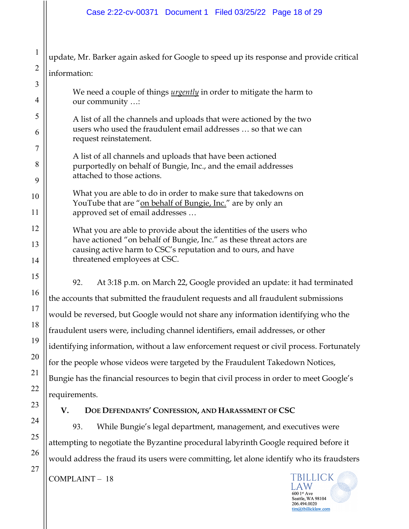1 update, Mr. Barker again asked for Google to speed up its response and provide critical information: We need a couple of things *urgently* in order to mitigate the harm to our community …: A list of all the channels and uploads that were actioned by the two users who used the fraudulent email addresses … so that we can request reinstatement. A list of all channels and uploads that have been actioned purportedly on behalf of Bungie, Inc., and the email addresses attached to those actions. What you are able to do in order to make sure that takedowns on YouTube that are "on behalf of Bungie, Inc." are by only an approved set of email addresses … What you are able to provide about the identities of the users who have actioned "on behalf of Bungie, Inc." as these threat actors are causing active harm to CSC's reputation and to ours, and have threatened employees at CSC. 92. At 3:18 p.m. on March 22, Google provided an update: it had terminated the accounts that submitted the fraudulent requests and all fraudulent submissions would be reversed, but Google would not share any information identifying who the fraudulent users were, including channel identifiers, email addresses, or other identifying information, without a law enforcement request or civil process. Fortunately for the people whose videos were targeted by the Fraudulent Takedown Notices, Bungie has the financial resources to begin that civil process in order to meet Google's requirements. **V. DOE DEFENDANTS' CONFESSION, AND HARASSMENT OF CSC** 93. While Bungie's legal department, management, and executives were

attempting to negotiate the Byzantine procedural labyrinth Google required before it would address the fraud its users were committing, let alone identify who its fraudsters

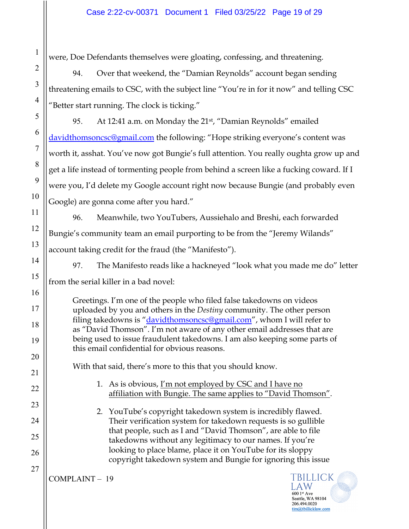were, Doe Defendants themselves were gloating, confessing, and threatening.

94. Over that weekend, the "Damian Reynolds" account began sending threatening emails to CSC, with the subject line "You're in for it now" and telling CSC "Better start running. The clock is ticking."

95. At 12:41 a.m. on Monday the 21<sup>st</sup>, "Damian Reynolds" emailed davidthomsoncsc@gmail.com the following: "Hope striking everyone's content was worth it, asshat. You've now got Bungie's full attention. You really oughta grow up and get a life instead of tormenting people from behind a screen like a fucking coward. If I were you, I'd delete my Google account right now because Bungie (and probably even Google) are gonna come after you hard."

96. Meanwhile, two YouTubers, Aussiehalo and Breshi, each forwarded Bungie's community team an email purporting to be from the "Jeremy Wilands" account taking credit for the fraud (the "Manifesto").

97. The Manifesto reads like a hackneyed "look what you made me do" letter from the serial killer in a bad novel:

Greetings. I'm one of the people who filed false takedowns on videos uploaded by you and others in the *Destiny* community. The other person filing takedowns is "*davidthomsoncsc@gmail.com*", whom I will refer to as "David Thomson". I'm not aware of any other email addresses that are being used to issue fraudulent takedowns. I am also keeping some parts of this email confidential for obvious reasons.

With that said, there's more to this that you should know.

1. As is obvious, I'm not employed by CSC and I have no affiliation with Bungie. The same applies to "David Thomson".

2. YouTube's copyright takedown system is incredibly flawed. Their verification system for takedown requests is so gullible that people, such as I and "David Thomson", are able to file takedowns without any legitimacy to our names. If you're looking to place blame, place it on YouTube for its sloppy copyright takedown system and Bungie for ignoring this issue

COMPLAINT – 19

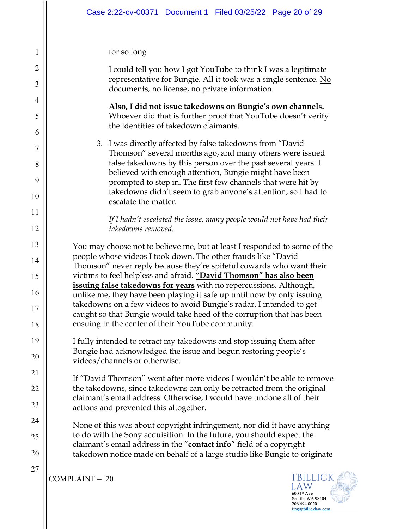## for so long

| $\mathbf{I}$   | TOT SO TOTIS                                                                                                                                                                                                                                                                 |  |  |  |  |  |  |
|----------------|------------------------------------------------------------------------------------------------------------------------------------------------------------------------------------------------------------------------------------------------------------------------------|--|--|--|--|--|--|
| $\overline{2}$ | I could tell you how I got YouTube to think I was a legitimate<br>representative for Bungie. All it took was a single sentence. No                                                                                                                                           |  |  |  |  |  |  |
| 3              | documents, no license, no private information.                                                                                                                                                                                                                               |  |  |  |  |  |  |
| 4<br>5         | Also, I did not issue takedowns on Bungie's own channels.<br>Whoever did that is further proof that YouTube doesn't verify                                                                                                                                                   |  |  |  |  |  |  |
| 6              | the identities of takedown claimants.                                                                                                                                                                                                                                        |  |  |  |  |  |  |
| $\overline{7}$ | 3. I was directly affected by false takedowns from "David<br>Thomson" several months ago, and many others were issued                                                                                                                                                        |  |  |  |  |  |  |
| 8              | false takedowns by this person over the past several years. I<br>believed with enough attention, Bungie might have been                                                                                                                                                      |  |  |  |  |  |  |
| 9              | prompted to step in. The first few channels that were hit by                                                                                                                                                                                                                 |  |  |  |  |  |  |
| 10             | takedowns didn't seem to grab anyone's attention, so I had to<br>escalate the matter.                                                                                                                                                                                        |  |  |  |  |  |  |
| 11             | If I hadn't escalated the issue, many people would not have had their                                                                                                                                                                                                        |  |  |  |  |  |  |
| 12             | takedowns removed.                                                                                                                                                                                                                                                           |  |  |  |  |  |  |
| 13             | You may choose not to believe me, but at least I responded to some of the                                                                                                                                                                                                    |  |  |  |  |  |  |
| 14             | people whose videos I took down. The other frauds like "David<br>Thomson" never reply because they're spiteful cowards who want their                                                                                                                                        |  |  |  |  |  |  |
| 15             | victims to feel helpless and afraid. "David Thomson" has also been<br>issuing false takedowns for years with no repercussions. Although,                                                                                                                                     |  |  |  |  |  |  |
| 16<br>17       | unlike me, they have been playing it safe up until now by only issuing<br>takedowns on a few videos to avoid Bungie's radar. I intended to get<br>caught so that Bungie would take heed of the corruption that has been<br>ensuing in the center of their YouTube community. |  |  |  |  |  |  |
| 18             |                                                                                                                                                                                                                                                                              |  |  |  |  |  |  |
| 19             | I fully intended to retract my takedowns and stop issuing them after                                                                                                                                                                                                         |  |  |  |  |  |  |
| 20             | Bungie had acknowledged the issue and begun restoring people's<br>videos/channels or otherwise.                                                                                                                                                                              |  |  |  |  |  |  |
| 21             | If "David Thomson" went after more videos I wouldn't be able to remove                                                                                                                                                                                                       |  |  |  |  |  |  |
| 22             | the takedowns, since takedowns can only be retracted from the original                                                                                                                                                                                                       |  |  |  |  |  |  |
| 23             | claimant's email address. Otherwise, I would have undone all of their<br>actions and prevented this altogether.                                                                                                                                                              |  |  |  |  |  |  |
| 24             | None of this was about copyright infringement, nor did it have anything                                                                                                                                                                                                      |  |  |  |  |  |  |
| 25             | to do with the Sony acquisition. In the future, you should expect the<br>claimant's email address in the "contact info" field of a copyright<br>takedown notice made on behalf of a large studio like Bungie to originate                                                    |  |  |  |  |  |  |
| 26             |                                                                                                                                                                                                                                                                              |  |  |  |  |  |  |
| 27             | TBILLICK<br>COMPLAINT - 20<br>law                                                                                                                                                                                                                                            |  |  |  |  |  |  |

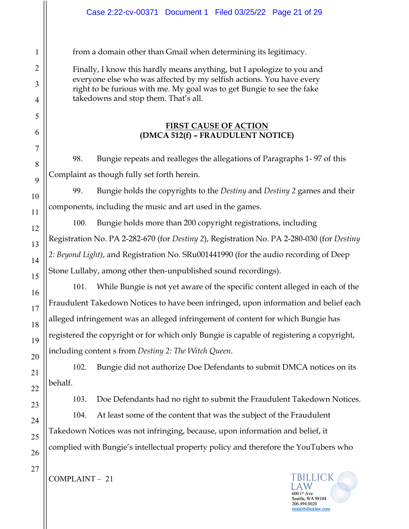from a domain other than Gmail when determining its legitimacy.

Finally, I know this hardly means anything, but I apologize to you and everyone else who was affected by my selfish actions. You have every right to be furious with me. My goal was to get Bungie to see the fake takedowns and stop them. That's all.

## **FIRST CAUSE OF ACTION (DMCA 512(f) – FRAUDULENT NOTICE)**

98. Bungie repeats and realleges the allegations of Paragraphs 1- 97 of this Complaint as though fully set forth herein.

99. Bungie holds the copyrights to the *Destiny* and *Destiny 2* games and their components, including the music and art used in the games.

100. Bungie holds more than 200 copyright registrations, including Registration No. PA 2-282-670 (for *Destiny 2*), Registration No. PA 2-280-030 (for *Destiny 2: Beyond Light)*, and Registration No. SRu001441990 (for the audio recording of Deep Stone Lullaby, among other then-unpublished sound recordings).

101. While Bungie is not yet aware of the specific content alleged in each of the Fraudulent Takedown Notices to have been infringed, upon information and belief each alleged infringement was an alleged infringement of content for which Bungie has registered the copyright or for which only Bungie is capable of registering a copyright, including content s from *Destiny 2: The Witch Queen*.

102. Bungie did not authorize Doe Defendants to submit DMCA notices on its behalf.

103. Doe Defendants had no right to submit the Fraudulent Takedown Notices.

104. At least some of the content that was the subject of the Fraudulent Takedown Notices was not infringing, because, upon information and belief, it complied with Bungie's intellectual property policy and therefore the YouTubers who



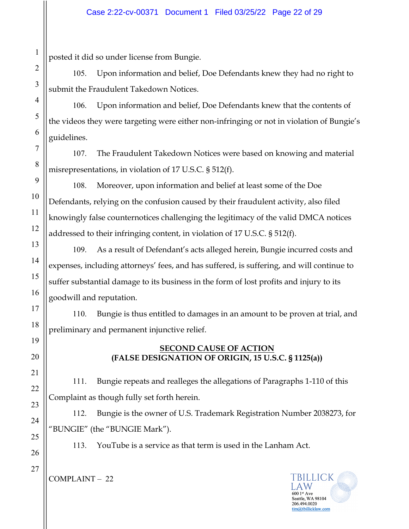posted it did so under license from Bungie.

105. Upon information and belief, Doe Defendants knew they had no right to submit the Fraudulent Takedown Notices.

106. Upon information and belief, Doe Defendants knew that the contents of the videos they were targeting were either non-infringing or not in violation of Bungie's guidelines.

107. The Fraudulent Takedown Notices were based on knowing and material misrepresentations, in violation of 17 U.S.C. § 512(f).

108. Moreover, upon information and belief at least some of the Doe Defendants, relying on the confusion caused by their fraudulent activity, also filed knowingly false counternotices challenging the legitimacy of the valid DMCA notices addressed to their infringing content, in violation of 17 U.S.C. § 512(f).

109. As a result of Defendant's acts alleged herein, Bungie incurred costs and expenses, including attorneys' fees, and has suffered, is suffering, and will continue to suffer substantial damage to its business in the form of lost profits and injury to its goodwill and reputation.

110. Bungie is thus entitled to damages in an amount to be proven at trial, and preliminary and permanent injunctive relief.

## **SECOND CAUSE OF ACTION (FALSE DESIGNATION OF ORIGIN, 15 U.S.C. § 1125(a))**

111. Bungie repeats and realleges the allegations of Paragraphs 1-110 of this Complaint as though fully set forth herein.

112. Bungie is the owner of U.S. Trademark Registration Number 2038273, for "BUNGIE" (the "BUNGIE Mark").

113. YouTube is a service as that term is used in the Lanham Act.



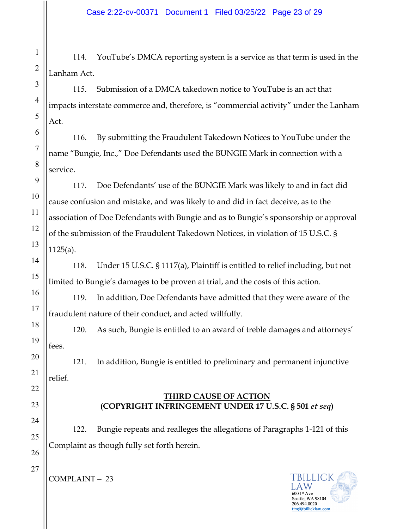114. YouTube's DMCA reporting system is a service as that term is used in the Lanham Act.

115. Submission of a DMCA takedown notice to YouTube is an act that impacts interstate commerce and, therefore, is "commercial activity" under the Lanham Act.

116. By submitting the Fraudulent Takedown Notices to YouTube under the name "Bungie, Inc.," Doe Defendants used the BUNGIE Mark in connection with a service.

117. Doe Defendants' use of the BUNGIE Mark was likely to and in fact did cause confusion and mistake, and was likely to and did in fact deceive, as to the association of Doe Defendants with Bungie and as to Bungie's sponsorship or approval of the submission of the Fraudulent Takedown Notices, in violation of 15 U.S.C. § 1125(a).

118. Under 15 U.S.C. § 1117(a), Plaintiff is entitled to relief including, but not limited to Bungie's damages to be proven at trial, and the costs of this action.

119. In addition, Doe Defendants have admitted that they were aware of the fraudulent nature of their conduct, and acted willfully.

120. As such, Bungie is entitled to an award of treble damages and attorneys' fees.

121. In addition, Bungie is entitled to preliminary and permanent injunctive relief.

#### **THIRD CAUSE OF ACTION (COPYRIGHT INFRINGEMENT UNDER 17 U.S.C. § 501** *et seq***)**

122. Bungie repeats and realleges the allegations of Paragraphs 1-121 of this Complaint as though fully set forth herein.

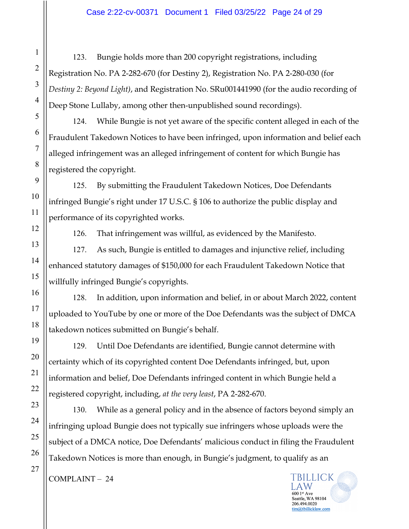123. Bungie holds more than 200 copyright registrations, including Registration No. PA 2-282-670 (for Destiny 2), Registration No. PA 2-280-030 (for *Destiny 2: Beyond Light)*, and Registration No. SRu001441990 (for the audio recording of Deep Stone Lullaby, among other then-unpublished sound recordings).

124. While Bungie is not yet aware of the specific content alleged in each of the Fraudulent Takedown Notices to have been infringed, upon information and belief each alleged infringement was an alleged infringement of content for which Bungie has registered the copyright.

125. By submitting the Fraudulent Takedown Notices, Doe Defendants infringed Bungie's right under 17 U.S.C. § 106 to authorize the public display and performance of its copyrighted works.

126. That infringement was willful, as evidenced by the Manifesto.

127. As such, Bungie is entitled to damages and injunctive relief, including enhanced statutory damages of \$150,000 for each Fraudulent Takedown Notice that willfully infringed Bungie's copyrights.

128. In addition, upon information and belief, in or about March 2022, content uploaded to YouTube by one or more of the Doe Defendants was the subject of DMCA takedown notices submitted on Bungie's behalf.

129. Until Doe Defendants are identified, Bungie cannot determine with certainty which of its copyrighted content Doe Defendants infringed, but, upon information and belief, Doe Defendants infringed content in which Bungie held a registered copyright, including, *at the very least*, PA 2-282-670.

130. While as a general policy and in the absence of factors beyond simply an infringing upload Bungie does not typically sue infringers whose uploads were the subject of a DMCA notice, Doe Defendants' malicious conduct in filing the Fraudulent Takedown Notices is more than enough, in Bungie's judgment, to qualify as an



1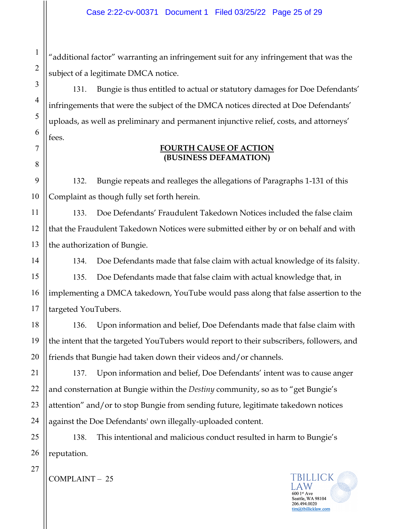"additional factor" warranting an infringement suit for any infringement that was the subject of a legitimate DMCA notice.

131. Bungie is thus entitled to actual or statutory damages for Doe Defendants' infringements that were the subject of the DMCA notices directed at Doe Defendants' uploads, as well as preliminary and permanent injunctive relief, costs, and attorneys' fees.

## **FOURTH CAUSE OF ACTION (BUSINESS DEFAMATION)**

132. Bungie repeats and realleges the allegations of Paragraphs 1-131 of this Complaint as though fully set forth herein.

133. Doe Defendants' Fraudulent Takedown Notices included the false claim that the Fraudulent Takedown Notices were submitted either by or on behalf and with the authorization of Bungie.

134. Doe Defendants made that false claim with actual knowledge of its falsity.

135. Doe Defendants made that false claim with actual knowledge that, in implementing a DMCA takedown, YouTube would pass along that false assertion to the targeted YouTubers.

136. Upon information and belief, Doe Defendants made that false claim with the intent that the targeted YouTubers would report to their subscribers, followers, and friends that Bungie had taken down their videos and/or channels.

137. Upon information and belief, Doe Defendants' intent was to cause anger and consternation at Bungie within the *Destiny* community, so as to "get Bungie's attention" and/or to stop Bungie from sending future, legitimate takedown notices against the Doe Defendants' own illegally-uploaded content.

138. This intentional and malicious conduct resulted in harm to Bungie's reputation.



1

2

3

4

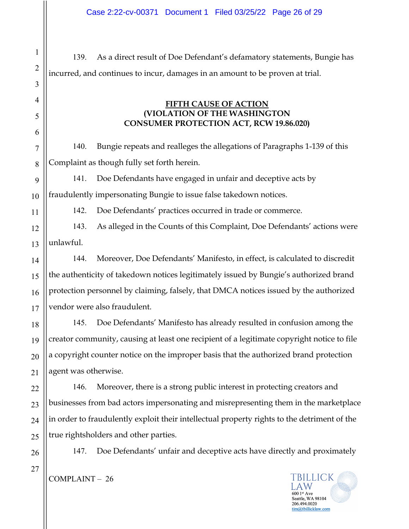139. As a direct result of Doe Defendant's defamatory statements, Bungie has incurred, and continues to incur, damages in an amount to be proven at trial.

## **FIFTH CAUSE OF ACTION (VIOLATION OF THE WASHINGTON CONSUMER PROTECTION ACT, RCW 19.86.020)**

140. Bungie repeats and realleges the allegations of Paragraphs 1-139 of this Complaint as though fully set forth herein.

141. Doe Defendants have engaged in unfair and deceptive acts by fraudulently impersonating Bungie to issue false takedown notices.

142. Doe Defendants' practices occurred in trade or commerce.

12 13 143. As alleged in the Counts of this Complaint, Doe Defendants' actions were unlawful.

144. Moreover, Doe Defendants' Manifesto, in effect, is calculated to discredit the authenticity of takedown notices legitimately issued by Bungie's authorized brand protection personnel by claiming, falsely, that DMCA notices issued by the authorized vendor were also fraudulent.

145. Doe Defendants' Manifesto has already resulted in confusion among the creator community, causing at least one recipient of a legitimate copyright notice to file a copyright counter notice on the improper basis that the authorized brand protection agent was otherwise.

146. Moreover, there is a strong public interest in protecting creators and businesses from bad actors impersonating and misrepresenting them in the marketplace in order to fraudulently exploit their intellectual property rights to the detriment of the true rightsholders and other parties.

26 27

1

2

3

4

5

6

7

8

9

10

11

14

15

16

17

18

19

20

21

22

23

24

25

147. Doe Defendants' unfair and deceptive acts have directly and proximately

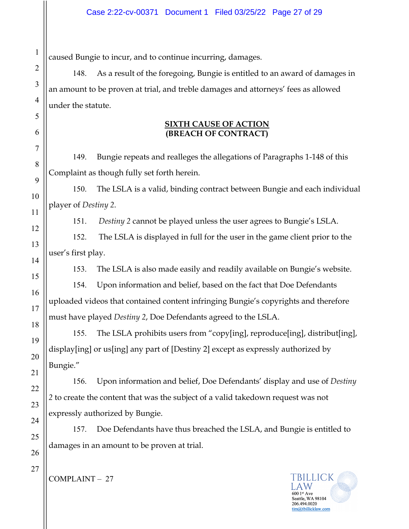caused Bungie to incur, and to continue incurring, damages.

148. As a result of the foregoing, Bungie is entitled to an award of damages in an amount to be proven at trial, and treble damages and attorneys' fees as allowed under the statute.

## **SIXTH CAUSE OF ACTION (BREACH OF CONTRACT)**

149. Bungie repeats and realleges the allegations of Paragraphs 1-148 of this Complaint as though fully set forth herein.

150. The LSLA is a valid, binding contract between Bungie and each individual player of *Destiny 2*.

151. *Destiny 2* cannot be played unless the user agrees to Bungie's LSLA.

152. The LSLA is displayed in full for the user in the game client prior to the user's first play.

153. The LSLA is also made easily and readily available on Bungie's website.

154. Upon information and belief, based on the fact that Doe Defendants uploaded videos that contained content infringing Bungie's copyrights and therefore must have played *Destiny 2*, Doe Defendants agreed to the LSLA.

155. The LSLA prohibits users from "copy[ing], reproduce[ing], distribut[ing], display[ing] or us[ing] any part of [Destiny 2] except as expressly authorized by Bungie."

156. Upon information and belief, Doe Defendants' display and use of *Destiny 2* to create the content that was the subject of a valid takedown request was not expressly authorized by Bungie.

157. Doe Defendants have thus breached the LSLA, and Bungie is entitled to damages in an amount to be proven at trial.

TBILLICK Seattle, WA 98104 206.494.0020 tim@tbillicklaw.com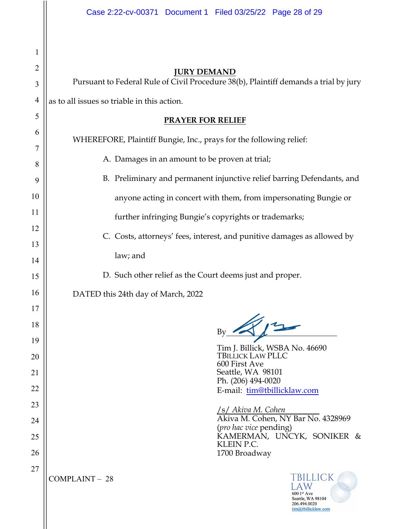|                | Case 2:22-cv-00371 Document 1 Filed 03/25/22 Page 28 of 29                                                   |  |  |  |  |  |  |
|----------------|--------------------------------------------------------------------------------------------------------------|--|--|--|--|--|--|
| 1              |                                                                                                              |  |  |  |  |  |  |
| $\overline{2}$ | <b>JURY DEMAND</b>                                                                                           |  |  |  |  |  |  |
| 3              | Pursuant to Federal Rule of Civil Procedure 38(b), Plaintiff demands a trial by jury                         |  |  |  |  |  |  |
| $\overline{4}$ | as to all issues so triable in this action.                                                                  |  |  |  |  |  |  |
| 5              | <b>PRAYER FOR RELIEF</b>                                                                                     |  |  |  |  |  |  |
| 6              | WHEREFORE, Plaintiff Bungie, Inc., prays for the following relief:                                           |  |  |  |  |  |  |
| 7              | A. Damages in an amount to be proven at trial;                                                               |  |  |  |  |  |  |
| 8<br>9         | B. Preliminary and permanent injunctive relief barring Defendants, and                                       |  |  |  |  |  |  |
| 10             |                                                                                                              |  |  |  |  |  |  |
| 11             | anyone acting in concert with them, from impersonating Bungie or                                             |  |  |  |  |  |  |
| 12             | further infringing Bungie's copyrights or trademarks;                                                        |  |  |  |  |  |  |
| 13             | C. Costs, attorneys' fees, interest, and punitive damages as allowed by                                      |  |  |  |  |  |  |
| 14             | law; and                                                                                                     |  |  |  |  |  |  |
| 15             | D. Such other relief as the Court deems just and proper.                                                     |  |  |  |  |  |  |
| 16             | DATED this 24th day of March, 2022                                                                           |  |  |  |  |  |  |
| 17             |                                                                                                              |  |  |  |  |  |  |
| 18             | Bv                                                                                                           |  |  |  |  |  |  |
| 19             | Tim J. Billick, WSBA No. 46690                                                                               |  |  |  |  |  |  |
| 20             | <b>TBILLICK LAW PLLC</b><br>600 First Ave                                                                    |  |  |  |  |  |  |
| 21<br>22       | Seattle, WA 98101<br>Ph. (206) 494-0020                                                                      |  |  |  |  |  |  |
| 23             | E-mail: tim@tbillicklaw.com                                                                                  |  |  |  |  |  |  |
| 24             | /s/ Akiva M. Cohen<br>Akiva M. Cohen, NY Bar No. 4328969                                                     |  |  |  |  |  |  |
| 25             | (pro hac vice pending)<br>KAMERMAN, UNCYK, SONIKER &                                                         |  |  |  |  |  |  |
| 26             | KLEIN P.C.<br>1700 Broadway                                                                                  |  |  |  |  |  |  |
| 27             |                                                                                                              |  |  |  |  |  |  |
|                | TBILLICK<br><b>COMPLAINT - 28</b><br>600 1st Ave<br>Seattle, WA 98104<br>206.494.0020<br>tim@tbillicklaw.com |  |  |  |  |  |  |